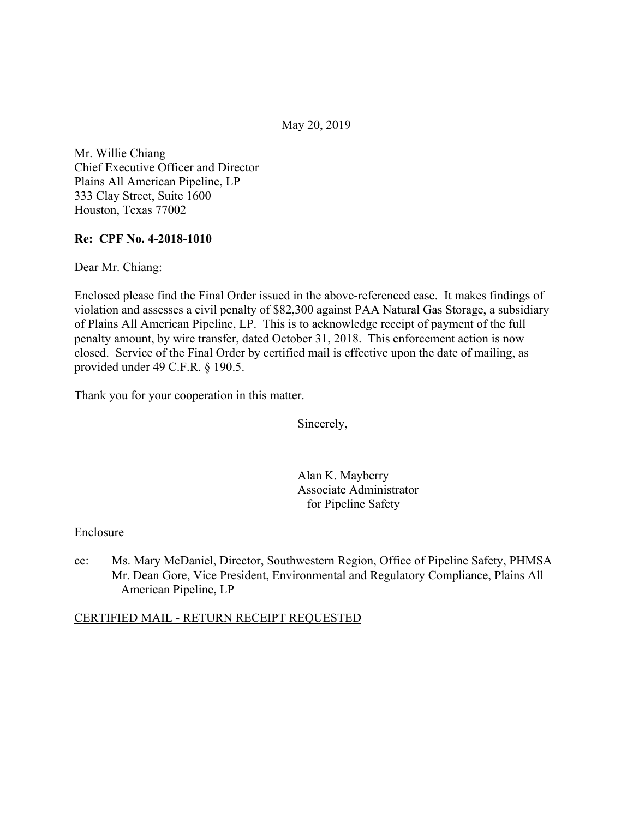May 20, 2019

Mr. Willie Chiang Chief Executive Officer and Director Plains All American Pipeline, LP 333 Clay Street, Suite 1600 Houston, Texas 77002

## **Re: CPF No. 4-2018-1010**

Dear Mr. Chiang:

Enclosed please find the Final Order issued in the above-referenced case. It makes findings of violation and assesses a civil penalty of \$82,300 against PAA Natural Gas Storage, a subsidiary of Plains All American Pipeline, LP. This is to acknowledge receipt of payment of the full penalty amount, by wire transfer, dated October 31, 2018. This enforcement action is now closed. Service of the Final Order by certified mail is effective upon the date of mailing, as provided under 49 C.F.R. § 190.5.

Thank you for your cooperation in this matter.

Sincerely,

Alan K. Mayberry Associate Administrator for Pipeline Safety

Enclosure

cc: Ms. Mary McDaniel, Director, Southwestern Region, Office of Pipeline Safety, PHMSA Mr. Dean Gore, Vice President, Environmental and Regulatory Compliance, Plains All American Pipeline, LP

### CERTIFIED MAIL - RETURN RECEIPT REQUESTED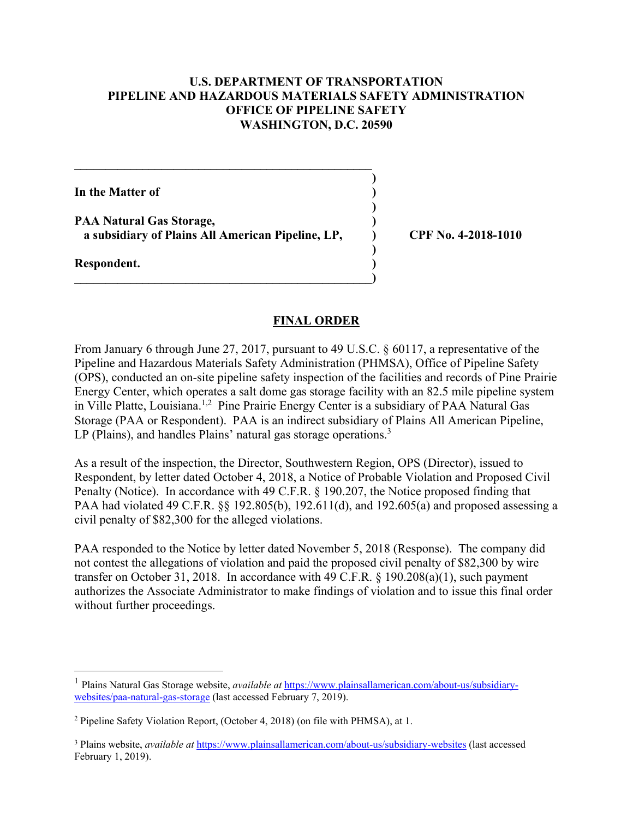## **U.S. DEPARTMENT OF TRANSPORTATION PIPELINE AND HAZARDOUS MATERIALS SAFETY ADMINISTRATION OFFICE OF PIPELINE SAFETY WASHINGTON, D.C. 20590**

**)**

 **)**

 **)**

**In the Matter of ) PAA Natural Gas Storage, ) a subsidiary of Plains All American Pipeline, LP, ) CPF No. 4-2018-1010 Respondent. )** 

**\_\_\_\_\_\_\_\_\_\_\_\_\_\_\_\_\_\_\_\_\_\_\_\_\_\_\_\_\_\_\_\_\_\_\_\_\_\_\_\_\_\_\_\_\_\_\_\_** 

 $\overline{\phantom{a}}$ 

#### **FINAL ORDER**

From January 6 through June 27, 2017, pursuant to 49 U.S.C. § 60117, a representative of the Pipeline and Hazardous Materials Safety Administration (PHMSA), Office of Pipeline Safety (OPS), conducted an on-site pipeline safety inspection of the facilities and records of Pine Prairie Energy Center, which operates a salt dome gas storage facility with an 82.5 mile pipeline system in Ville Platte, Louisiana.<sup>1,2</sup> Pine Prairie Energy Center is a subsidiary of PAA Natural Gas Storage (PAA or Respondent). PAA is an indirect subsidiary of Plains All American Pipeline, LP (Plains), and handles Plains' natural gas storage operations.<sup>3</sup>

As a result of the inspection, the Director, Southwestern Region, OPS (Director), issued to Respondent, by letter dated October 4, 2018, a Notice of Probable Violation and Proposed Civil Penalty (Notice). In accordance with 49 C.F.R. § 190.207, the Notice proposed finding that PAA had violated 49 C.F.R. §§ 192.805(b), 192.611(d), and 192.605(a) and proposed assessing a civil penalty of \$82,300 for the alleged violations.

PAA responded to the Notice by letter dated November 5, 2018 (Response). The company did not contest the allegations of violation and paid the proposed civil penalty of \$82,300 by wire transfer on October 31, 2018. In accordance with 49 C.F.R. § 190.208(a)(1), such payment authorizes the Associate Administrator to make findings of violation and to issue this final order without further proceedings.

 $\overline{a}$ 

<sup>1</sup> Plains Natural Gas Storage website, *available at* <https://www.plainsallamerican.com/about-us/subsidiary>websites/paa-natural-gas-storage (last accessed February 7, 2019).

<sup>&</sup>lt;sup>2</sup> Pipeline Safety Violation Report, (October 4, 2018) (on file with PHMSA), at 1.

 February 1, 2019).3 Plains website, *available at* <https://www.plainsallamerican.com/about-us/subsidiary-websites> (last accessed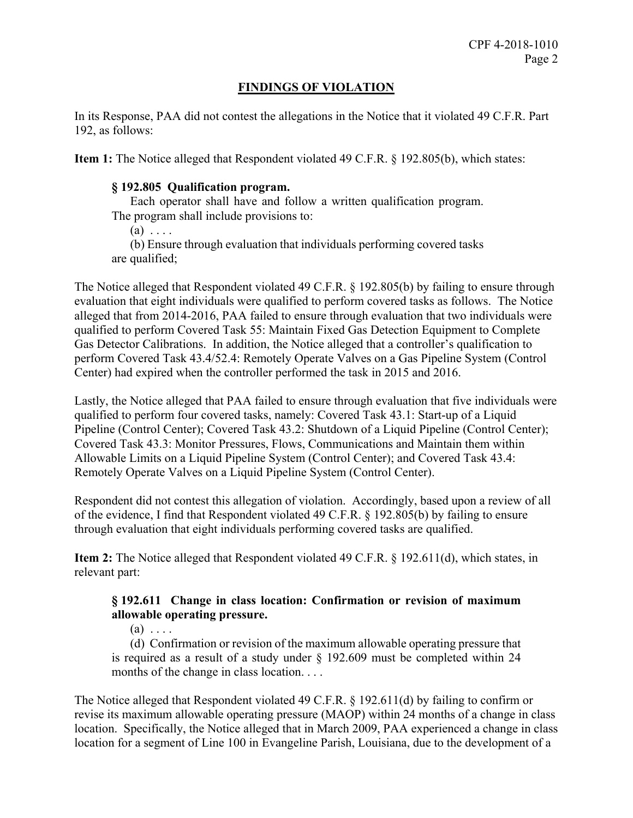# **FINDINGS OF VIOLATION**

In its Response, PAA did not contest the allegations in the Notice that it violated 49 C.F.R. Part 192, as follows:

**Item 1:** The Notice alleged that Respondent violated 49 C.F.R. § 192.805(b), which states:

## **§ 192.805 Qualification program.**

Each operator shall have and follow a written qualification program.

The program shall include provisions to:

 $(a) \ldots$ 

(b) Ensure through evaluation that individuals performing covered tasks are qualified;

The Notice alleged that Respondent violated 49 C.F.R. § 192.805(b) by failing to ensure through evaluation that eight individuals were qualified to perform covered tasks as follows. The Notice alleged that from 2014-2016, PAA failed to ensure through evaluation that two individuals were qualified to perform Covered Task 55: Maintain Fixed Gas Detection Equipment to Complete Gas Detector Calibrations. In addition, the Notice alleged that a controller's qualification to perform Covered Task 43.4/52.4: Remotely Operate Valves on a Gas Pipeline System (Control Center) had expired when the controller performed the task in 2015 and 2016.

Lastly, the Notice alleged that PAA failed to ensure through evaluation that five individuals were qualified to perform four covered tasks, namely: Covered Task 43.1: Start-up of a Liquid Pipeline (Control Center); Covered Task 43.2: Shutdown of a Liquid Pipeline (Control Center); Covered Task 43.3: Monitor Pressures, Flows, Communications and Maintain them within Allowable Limits on a Liquid Pipeline System (Control Center); and Covered Task 43.4: Remotely Operate Valves on a Liquid Pipeline System (Control Center).

Respondent did not contest this allegation of violation. Accordingly, based upon a review of all of the evidence, I find that Respondent violated 49 C.F.R. § 192.805(b) by failing to ensure through evaluation that eight individuals performing covered tasks are qualified.

**Item 2:** The Notice alleged that Respondent violated 49 C.F.R. § 192.611(d), which states, in relevant part:

# **§ 192.611 Change in class location: Confirmation or revision of maximum allowable operating pressure.**

 $(a) \ldots$ 

 is required as a result of a study under § 192.609 must be completed within 24 (d) Confirmation or revision of the maximum allowable operating pressure that months of the change in class location. . . .

The Notice alleged that Respondent violated 49 C.F.R. § 192.611(d) by failing to confirm or revise its maximum allowable operating pressure (MAOP) within 24 months of a change in class location. Specifically, the Notice alleged that in March 2009, PAA experienced a change in class location for a segment of Line 100 in Evangeline Parish, Louisiana, due to the development of a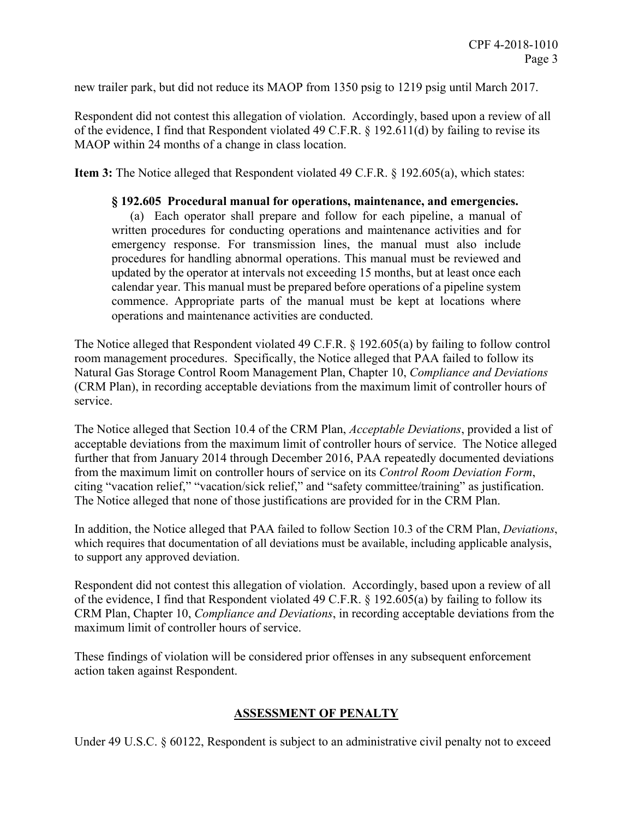new trailer park, but did not reduce its MAOP from 1350 psig to 1219 psig until March 2017.

Respondent did not contest this allegation of violation. Accordingly, based upon a review of all of the evidence, I find that Respondent violated 49 C.F.R. § 192.611(d) by failing to revise its MAOP within 24 months of a change in class location.

**Item 3:** The Notice alleged that Respondent violated 49 C.F.R. § 192.605(a), which states:

## **§ 192.605 Procedural manual for operations, maintenance, and emergencies.**

 (a) Each operator shall prepare and follow for each pipeline, a manual of written procedures for conducting operations and maintenance activities and for emergency response. For transmission lines, the manual must also include procedures for handling abnormal operations. This manual must be reviewed and updated by the operator at intervals not exceeding 15 months, but at least once each calendar year. This manual must be prepared before operations of a pipeline system commence. Appropriate parts of the manual must be kept at locations where operations and maintenance activities are conducted.

The Notice alleged that Respondent violated 49 C.F.R. § 192.605(a) by failing to follow control room management procedures. Specifically, the Notice alleged that PAA failed to follow its Natural Gas Storage Control Room Management Plan, Chapter 10, *Compliance and Deviations*  (CRM Plan), in recording acceptable deviations from the maximum limit of controller hours of service.

The Notice alleged that Section 10.4 of the CRM Plan, *Acceptable Deviations*, provided a list of acceptable deviations from the maximum limit of controller hours of service. The Notice alleged further that from January 2014 through December 2016, PAA repeatedly documented deviations from the maximum limit on controller hours of service on its *Control Room Deviation Form*, citing "vacation relief," "vacation/sick relief," and "safety committee/training" as justification. The Notice alleged that none of those justifications are provided for in the CRM Plan.

In addition, the Notice alleged that PAA failed to follow Section 10.3 of the CRM Plan, *Deviations*, which requires that documentation of all deviations must be available, including applicable analysis, to support any approved deviation.

Respondent did not contest this allegation of violation. Accordingly, based upon a review of all of the evidence, I find that Respondent violated 49 C.F.R. § 192.605(a) by failing to follow its CRM Plan, Chapter 10, *Compliance and Deviations*, in recording acceptable deviations from the maximum limit of controller hours of service.

These findings of violation will be considered prior offenses in any subsequent enforcement action taken against Respondent.

# **ASSESSMENT OF PENALTY**

Under 49 U.S.C. § 60122, Respondent is subject to an administrative civil penalty not to exceed